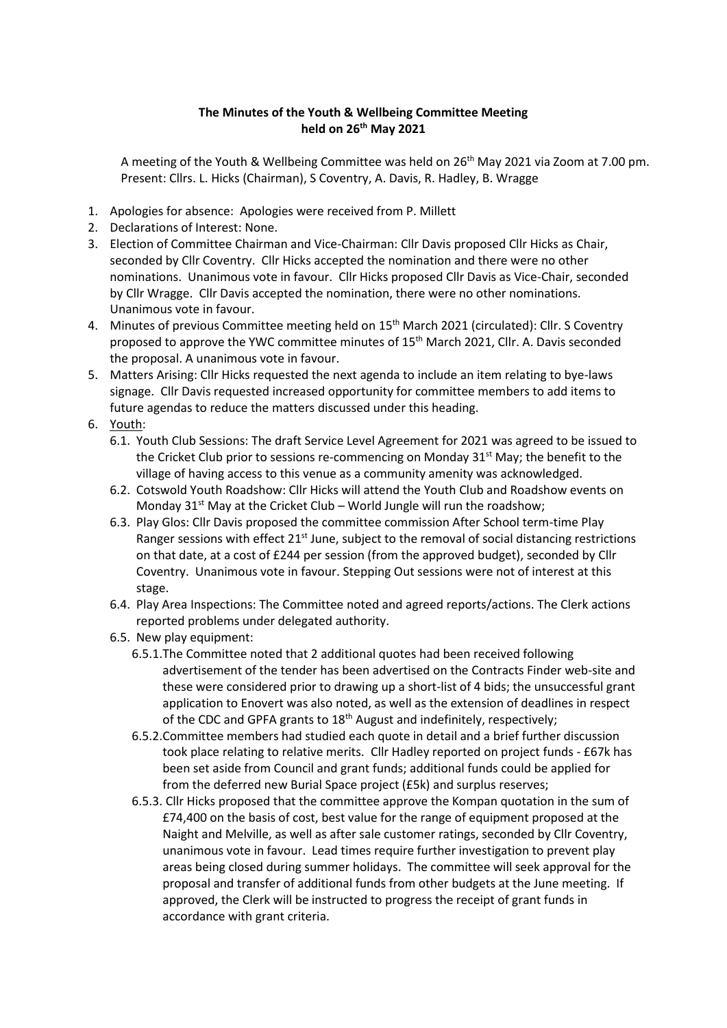## **The Minutes of the Youth & Wellbeing Committee Meeting held on 26th May 2021**

A meeting of the Youth & Wellbeing Committee was held on 26<sup>th</sup> May 2021 via Zoom at 7.00 pm. Present: Cllrs. L. Hicks (Chairman), S Coventry, A. Davis, R. Hadley, B. Wragge

- 1. Apologies for absence: Apologies were received from P. Millett
- 2. Declarations of Interest: None.
- 3. Election of Committee Chairman and Vice-Chairman: Cllr Davis proposed Cllr Hicks as Chair, seconded by Cllr Coventry. Cllr Hicks accepted the nomination and there were no other nominations. Unanimous vote in favour. Cllr Hicks proposed Cllr Davis as Vice-Chair, seconded by Cllr Wragge. Cllr Davis accepted the nomination, there were no other nominations. Unanimous vote in favour.
- 4. Minutes of previous Committee meeting held on 15<sup>th</sup> March 2021 (circulated): Cllr. S Coventry proposed to approve the YWC committee minutes of 15<sup>th</sup> March 2021, Cllr. A. Davis seconded the proposal. A unanimous vote in favour.
- 5. Matters Arising: Cllr Hicks requested the next agenda to include an item relating to bye-laws signage. Cllr Davis requested increased opportunity for committee members to add items to future agendas to reduce the matters discussed under this heading.
- 6. Youth:
	- 6.1. Youth Club Sessions: The draft Service Level Agreement for 2021 was agreed to be issued to the Cricket Club prior to sessions re-commencing on Monday 31<sup>st</sup> May; the benefit to the village of having access to this venue as a community amenity was acknowledged.
	- 6.2. Cotswold Youth Roadshow: Cllr Hicks will attend the Youth Club and Roadshow events on Monday  $31^{st}$  May at the Cricket Club – World Jungle will run the roadshow;
	- 6.3. Play Glos: Cllr Davis proposed the committee commission After School term-time Play Ranger sessions with effect  $21<sup>st</sup>$  June, subject to the removal of social distancing restrictions on that date, at a cost of £244 per session (from the approved budget), seconded by Cllr Coventry. Unanimous vote in favour. Stepping Out sessions were not of interest at this stage.
	- 6.4. Play Area Inspections: The Committee noted and agreed reports/actions. The Clerk actions reported problems under delegated authority.
	- 6.5. New play equipment:
		- 6.5.1.The Committee noted that 2 additional quotes had been received following advertisement of the tender has been advertised on the Contracts Finder web-site and these were considered prior to drawing up a short-list of 4 bids; the unsuccessful grant application to Enovert was also noted, as well as the extension of deadlines in respect of the CDC and GPFA grants to 18<sup>th</sup> August and indefinitely, respectively;
		- 6.5.2.Committee members had studied each quote in detail and a brief further discussion took place relating to relative merits. Cllr Hadley reported on project funds - £67k has been set aside from Council and grant funds; additional funds could be applied for from the deferred new Burial Space project (£5k) and surplus reserves;
		- 6.5.3. Cllr Hicks proposed that the committee approve the Kompan quotation in the sum of £74,400 on the basis of cost, best value for the range of equipment proposed at the Naight and Melville, as well as after sale customer ratings, seconded by Cllr Coventry, unanimous vote in favour. Lead times require further investigation to prevent play areas being closed during summer holidays. The committee will seek approval for the proposal and transfer of additional funds from other budgets at the June meeting. If approved, the Clerk will be instructed to progress the receipt of grant funds in accordance with grant criteria.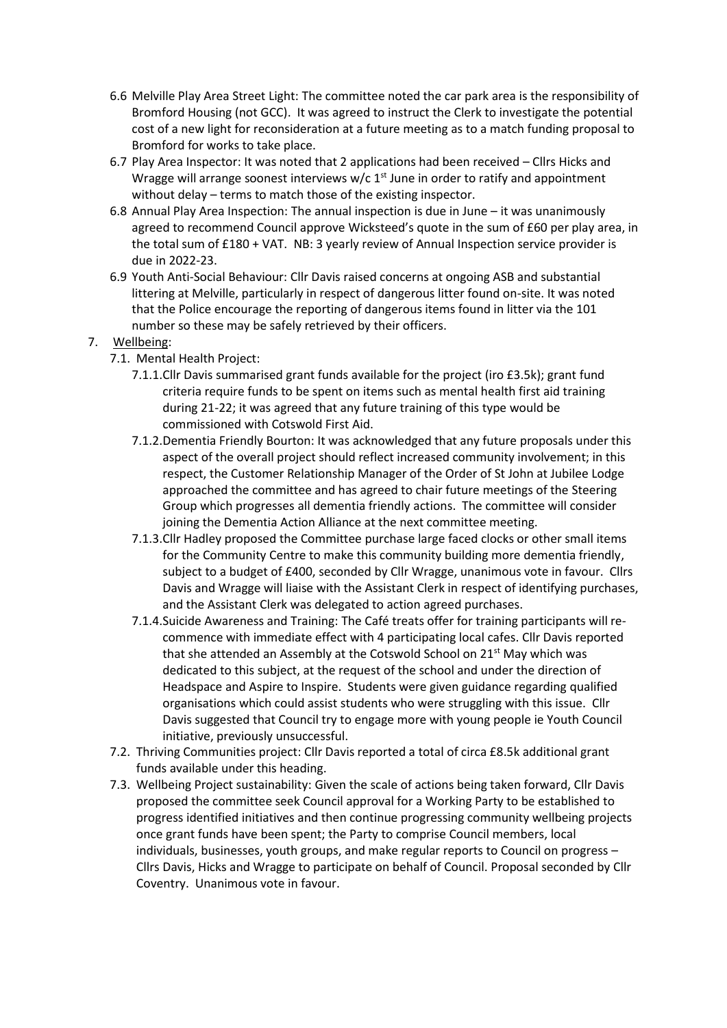- 6.6 Melville Play Area Street Light: The committee noted the car park area is the responsibility of Bromford Housing (not GCC). It was agreed to instruct the Clerk to investigate the potential cost of a new light for reconsideration at a future meeting as to a match funding proposal to Bromford for works to take place.
- 6.7 Play Area Inspector: It was noted that 2 applications had been received Cllrs Hicks and Wragge will arrange soonest interviews  $w/c$  1st June in order to ratify and appointment without delay – terms to match those of the existing inspector.
- 6.8 Annual Play Area Inspection: The annual inspection is due in June it was unanimously agreed to recommend Council approve Wicksteed's quote in the sum of £60 per play area, in the total sum of £180 + VAT. NB: 3 yearly review of Annual Inspection service provider is due in 2022-23.
- 6.9 Youth Anti-Social Behaviour: Cllr Davis raised concerns at ongoing ASB and substantial littering at Melville, particularly in respect of dangerous litter found on-site. It was noted that the Police encourage the reporting of dangerous items found in litter via the 101 number so these may be safely retrieved by their officers.

## 7. Wellbeing:

- 7.1. Mental Health Project:
	- 7.1.1.Cllr Davis summarised grant funds available for the project (iro £3.5k); grant fund criteria require funds to be spent on items such as mental health first aid training during 21-22; it was agreed that any future training of this type would be commissioned with Cotswold First Aid.
	- 7.1.2.Dementia Friendly Bourton: It was acknowledged that any future proposals under this aspect of the overall project should reflect increased community involvement; in this respect, the Customer Relationship Manager of the Order of St John at Jubilee Lodge approached the committee and has agreed to chair future meetings of the Steering Group which progresses all dementia friendly actions. The committee will consider joining the Dementia Action Alliance at the next committee meeting.
	- 7.1.3.Cllr Hadley proposed the Committee purchase large faced clocks or other small items for the Community Centre to make this community building more dementia friendly, subject to a budget of £400, seconded by Cllr Wragge, unanimous vote in favour. Cllrs Davis and Wragge will liaise with the Assistant Clerk in respect of identifying purchases, and the Assistant Clerk was delegated to action agreed purchases.
	- 7.1.4.Suicide Awareness and Training: The Café treats offer for training participants will recommence with immediate effect with 4 participating local cafes. Cllr Davis reported that she attended an Assembly at the Cotswold School on  $21^{st}$  May which was dedicated to this subject, at the request of the school and under the direction of Headspace and Aspire to Inspire. Students were given guidance regarding qualified organisations which could assist students who were struggling with this issue. Cllr Davis suggested that Council try to engage more with young people ie Youth Council initiative, previously unsuccessful.
- 7.2. Thriving Communities project: Cllr Davis reported a total of circa £8.5k additional grant funds available under this heading.
- 7.3. Wellbeing Project sustainability: Given the scale of actions being taken forward, Cllr Davis proposed the committee seek Council approval for a Working Party to be established to progress identified initiatives and then continue progressing community wellbeing projects once grant funds have been spent; the Party to comprise Council members, local individuals, businesses, youth groups, and make regular reports to Council on progress – Cllrs Davis, Hicks and Wragge to participate on behalf of Council. Proposal seconded by Cllr Coventry. Unanimous vote in favour.